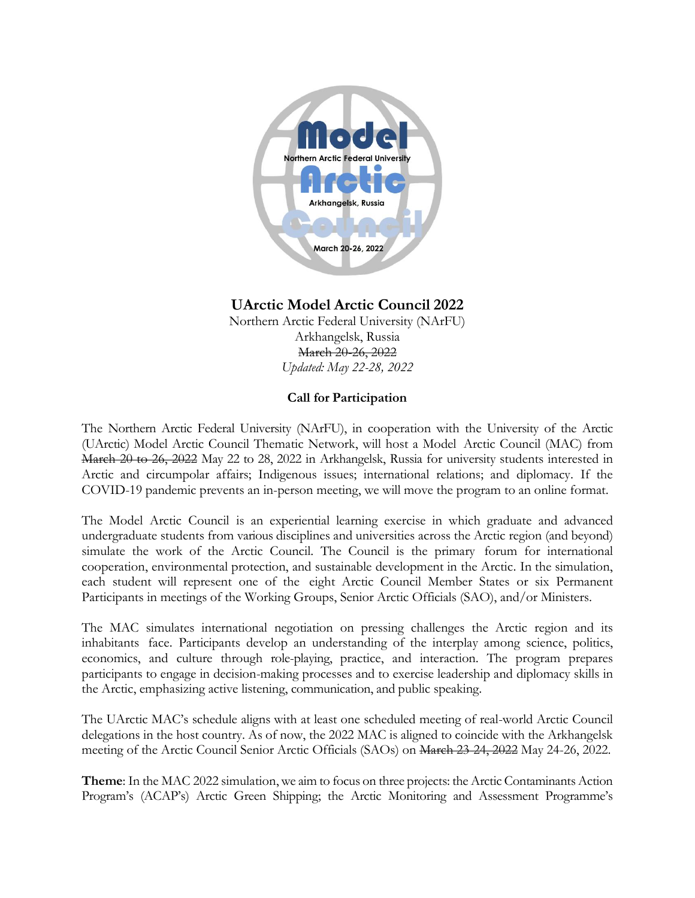

## **UArctic Model Arctic Council 2022**

Northern Arctic Federal University (NArFU) Arkhangelsk, Russia March 20-26, 2022 *Updated: May 22-28, 2022*

## **Call for Participation**

The Northern Arctic Federal University (NArFU), in cooperation with the University of the Arctic (UArctic) Model Arctic Council Thematic Network, will host a Model Arctic Council (MAC) from March 20 to 26, 2022 May 22 to 28, 2022 in Arkhangelsk, Russia for university students interested in Arctic and circumpolar affairs; Indigenous issues; international relations; and diplomacy. If the COVID-19 pandemic prevents an in-person meeting, we will move the program to an online format.

The Model Arctic Council is an experiential learning exercise in which graduate and advanced undergraduate students from various disciplines and universities across the Arctic region (and beyond) simulate the work of the Arctic Council. The Council is the primary forum for international cooperation, environmental protection, and sustainable development in the Arctic. In the simulation, each student will represent one of the eight Arctic Council Member States or six Permanent Participants in meetings of the Working Groups, Senior Arctic Officials (SAO), and/or Ministers.

The MAC simulates international negotiation on pressing challenges the Arctic region and its inhabitants face. Participants develop an understanding of the interplay among science, politics, economics, and culture through role-playing, practice, and interaction. The program prepares participants to engage in decision-making processes and to exercise leadership and diplomacy skills in the Arctic, emphasizing active listening, communication, and public speaking.

The UArctic MAC's schedule aligns with at least one scheduled meeting of real-world Arctic Council delegations in the host country. As of now, the 2022 MAC is aligned to coincide with the Arkhangelsk meeting of the Arctic Council Senior Arctic Officials (SAOs) on March 23-24, 2022 May 24-26, 2022.

**Theme**: In the MAC 2022 simulation, we aim to focus on three projects: the Arctic Contaminants Action Program's (ACAP's) Arctic Green Shipping; the Arctic Monitoring and Assessment Programme's